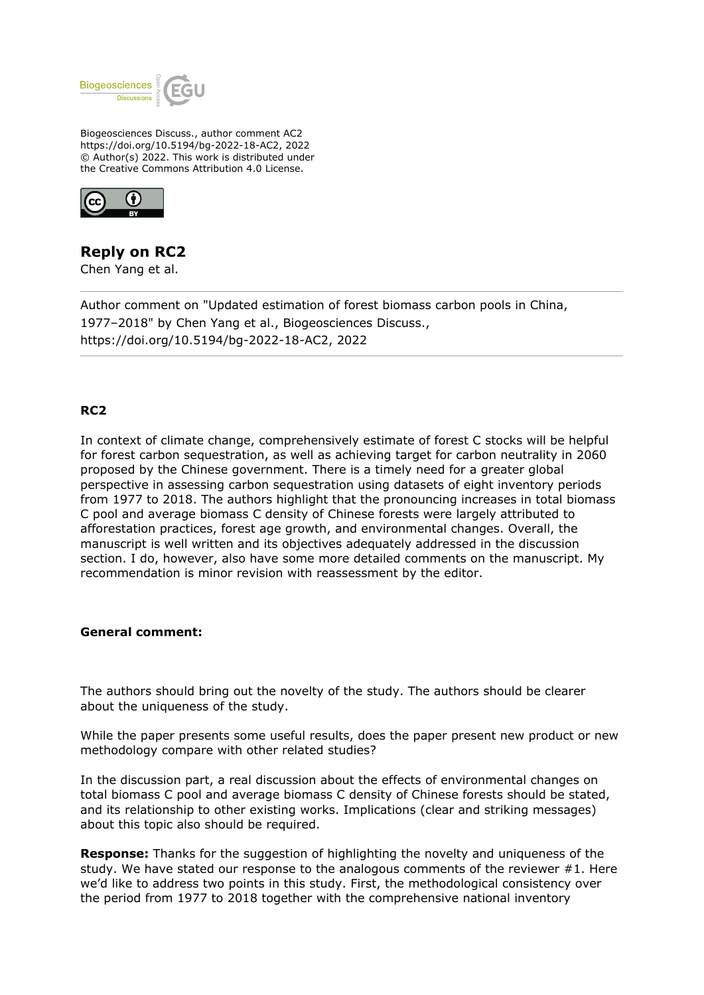

Biogeosciences Discuss., author comment AC2 https://doi.org/10.5194/bg-2022-18-AC2, 2022 © Author(s) 2022. This work is distributed under the Creative Commons Attribution 4.0 License.



# **Reply on RC2**

Chen Yang et al.

Author comment on "Updated estimation of forest biomass carbon pools in China, 1977–2018" by Chen Yang et al., Biogeosciences Discuss., https://doi.org/10.5194/bg-2022-18-AC2, 2022

## **RC2**

In context of climate change, comprehensively estimate of forest C stocks will be helpful for forest carbon sequestration, as well as achieving target for carbon neutrality in 2060 proposed by the Chinese government. There is a timely need for a greater global perspective in assessing carbon sequestration using datasets of eight inventory periods from 1977 to 2018. The authors highlight that the pronouncing increases in total biomass C pool and average biomass C density of Chinese forests were largely attributed to afforestation practices, forest age growth, and environmental changes. Overall, the manuscript is well written and its objectives adequately addressed in the discussion section. I do, however, also have some more detailed comments on the manuscript. My recommendation is minor revision with reassessment by the editor.

#### **General comment:**

The authors should bring out the novelty of the study. The authors should be clearer about the uniqueness of the study.

While the paper presents some useful results, does the paper present new product or new methodology compare with other related studies?

In the discussion part, a real discussion about the effects of environmental changes on total biomass C pool and average biomass C density of Chinese forests should be stated, and its relationship to other existing works. Implications (clear and striking messages) about this topic also should be required.

**Response:** Thanks for the suggestion of highlighting the novelty and uniqueness of the study. We have stated our response to the analogous comments of the reviewer #1. Here we'd like to address two points in this study. First, the methodological consistency over the period from 1977 to 2018 together with the comprehensive national inventory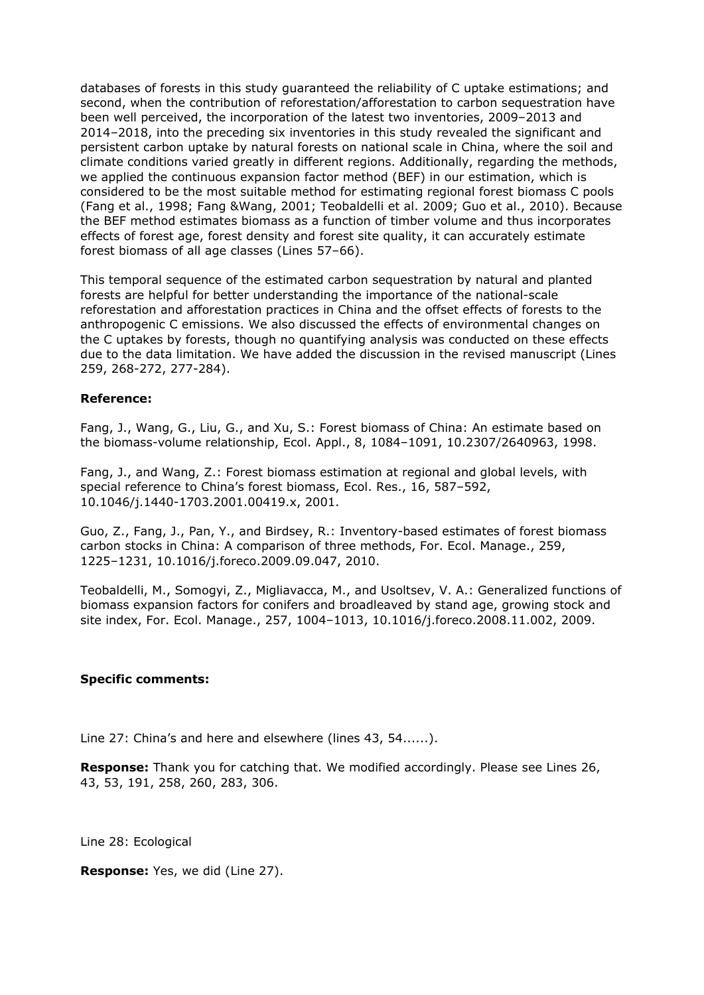databases of forests in this study guaranteed the reliability of C uptake estimations; and second, when the contribution of reforestation/afforestation to carbon sequestration have been well perceived, the incorporation of the latest two inventories, 2009–2013 and 2014–2018, into the preceding six inventories in this study revealed the significant and persistent carbon uptake by natural forests on national scale in China, where the soil and climate conditions varied greatly in different regions. Additionally, regarding the methods, we applied the continuous expansion factor method (BEF) in our estimation, which is considered to be the most suitable method for estimating regional forest biomass C pools (Fang et al., 1998; Fang &Wang, 2001; Teobaldelli et al. 2009; Guo et al., 2010). Because the BEF method estimates biomass as a function of timber volume and thus incorporates effects of forest age, forest density and forest site quality, it can accurately estimate forest biomass of all age classes (Lines 57–66).

This temporal sequence of the estimated carbon sequestration by natural and planted forests are helpful for better understanding the importance of the national-scale reforestation and afforestation practices in China and the offset effects of forests to the anthropogenic C emissions. We also discussed the effects of environmental changes on the C uptakes by forests, though no quantifying analysis was conducted on these effects due to the data limitation. We have added the discussion in the revised manuscript (Lines 259, 268-272, 277-284).

### **Reference:**

Fang, J., Wang, G., Liu, G., and Xu, S.: Forest biomass of China: An estimate based on the biomass-volume relationship, Ecol. Appl., 8, 1084–1091, 10.2307/2640963, 1998.

Fang, J., and Wang, Z.: Forest biomass estimation at regional and global levels, with special reference to China's forest biomass, Ecol. Res., 16, 587–592, 10.1046/j.1440-1703.2001.00419.x, 2001.

Guo, Z., Fang, J., Pan, Y., and Birdsey, R.: Inventory-based estimates of forest biomass carbon stocks in China: A comparison of three methods, For. Ecol. Manage., 259, 1225–1231, 10.1016/j.foreco.2009.09.047, 2010.

Teobaldelli, M., Somogyi, Z., Migliavacca, M., and Usoltsev, V. A.: Generalized functions of biomass expansion factors for conifers and broadleaved by stand age, growing stock and site index, For. Ecol. Manage., 257, 1004–1013, 10.1016/j.foreco.2008.11.002, 2009.

#### **Specific comments:**

Line 27: China's and here and elsewhere (lines 43, 54......).

**Response:** Thank you for catching that. We modified accordingly. Please see Lines 26, 43, 53, 191, 258, 260, 283, 306.

Line 28: Ecological

**Response:** Yes, we did (Line 27).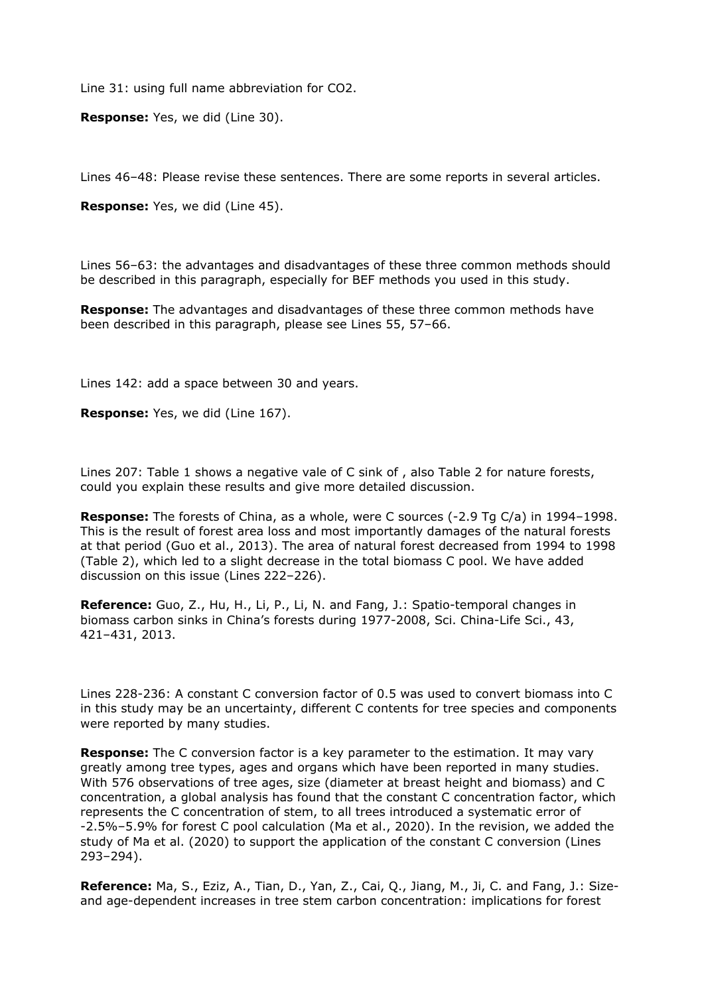Line 31: using full name abbreviation for CO2.

**Response:** Yes, we did (Line 30).

Lines 46–48: Please revise these sentences. There are some reports in several articles.

**Response:** Yes, we did (Line 45).

Lines 56–63: the advantages and disadvantages of these three common methods should be described in this paragraph, especially for BEF methods you used in this study.

**Response:** The advantages and disadvantages of these three common methods have been described in this paragraph, please see Lines 55, 57–66.

Lines 142: add a space between 30 and years.

**Response:** Yes, we did (Line 167).

Lines 207: Table 1 shows a negative vale of C sink of , also Table 2 for nature forests, could you explain these results and give more detailed discussion.

**Response:** The forests of China, as a whole, were C sources (-2.9 Tg C/a) in 1994–1998. This is the result of forest area loss and most importantly damages of the natural forests at that period (Guo et al., 2013). The area of natural forest decreased from 1994 to 1998 (Table 2), which led to a slight decrease in the total biomass C pool. We have added discussion on this issue (Lines 222–226).

**Reference:** Guo, Z., Hu, H., Li, P., Li, N. and Fang, J.: Spatio-temporal changes in biomass carbon sinks in China's forests during 1977-2008, Sci. China-Life Sci., 43, 421–431, 2013.

Lines 228-236: A constant C conversion factor of 0.5 was used to convert biomass into C in this study may be an uncertainty, different C contents for tree species and components were reported by many studies.

**Response:** The C conversion factor is a key parameter to the estimation. It may vary greatly among tree types, ages and organs which have been reported in many studies. With 576 observations of tree ages, size (diameter at breast height and biomass) and C concentration, a global analysis has found that the constant C concentration factor, which represents the C concentration of stem, to all trees introduced a systematic error of -2.5%–5.9% for forest C pool calculation (Ma et al., 2020). In the revision, we added the study of Ma et al. (2020) to support the application of the constant C conversion (Lines 293–294).

**Reference:** Ma, S., Eziz, A., Tian, D., Yan, Z., Cai, Q., Jiang, M., Ji, C. and Fang, J.: Sizeand age-dependent increases in tree stem carbon concentration: implications for forest